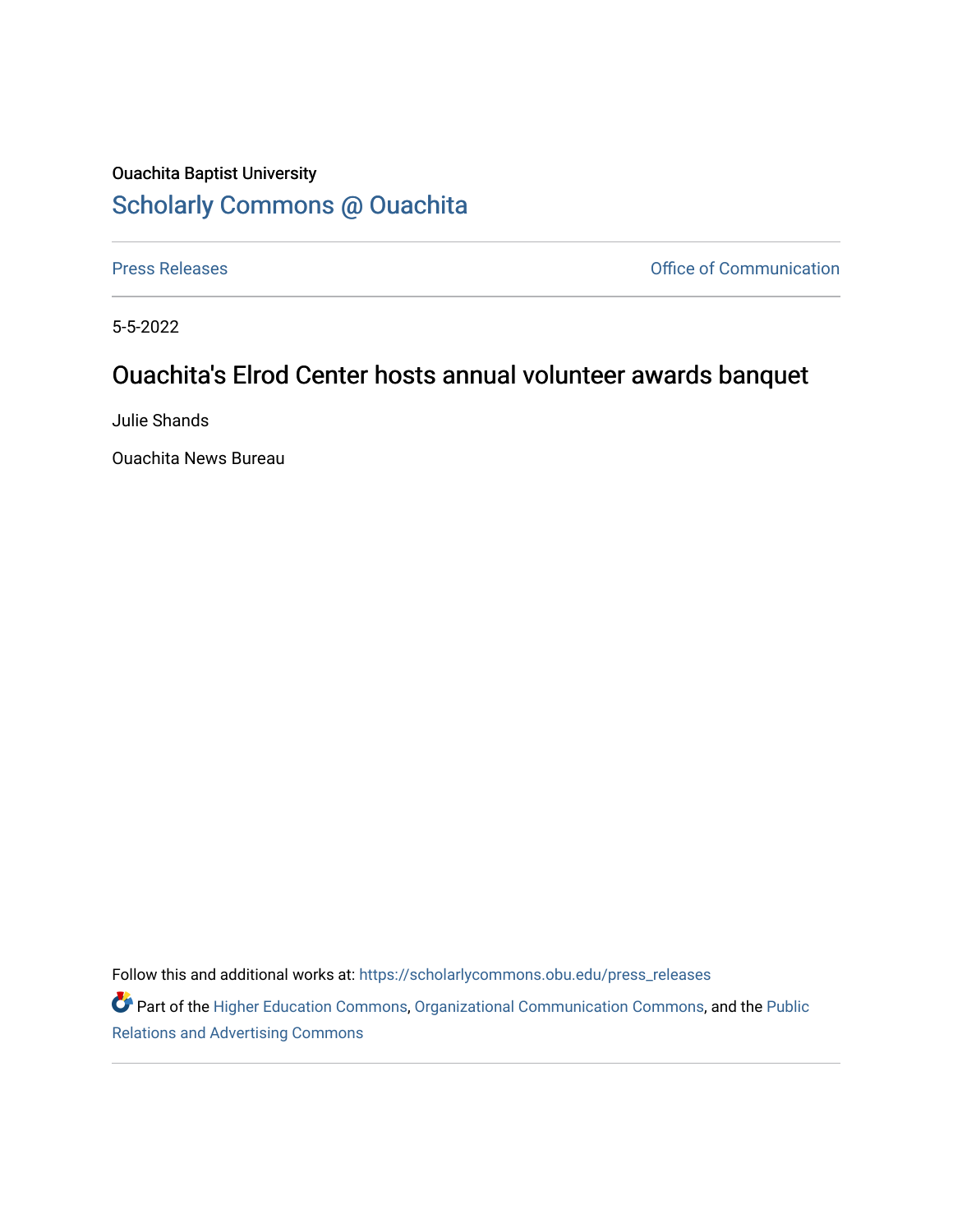## Ouachita Baptist University [Scholarly Commons @ Ouachita](https://scholarlycommons.obu.edu/)

[Press Releases](https://scholarlycommons.obu.edu/press_releases) **Press Releases Communication** 

5-5-2022

## Ouachita's Elrod Center hosts annual volunteer awards banquet

Julie Shands

Ouachita News Bureau

Follow this and additional works at: [https://scholarlycommons.obu.edu/press\\_releases](https://scholarlycommons.obu.edu/press_releases?utm_source=scholarlycommons.obu.edu%2Fpress_releases%2F1087&utm_medium=PDF&utm_campaign=PDFCoverPages)

Part of the [Higher Education Commons,](http://network.bepress.com/hgg/discipline/1245?utm_source=scholarlycommons.obu.edu%2Fpress_releases%2F1087&utm_medium=PDF&utm_campaign=PDFCoverPages) [Organizational Communication Commons,](http://network.bepress.com/hgg/discipline/335?utm_source=scholarlycommons.obu.edu%2Fpress_releases%2F1087&utm_medium=PDF&utm_campaign=PDFCoverPages) and the [Public](http://network.bepress.com/hgg/discipline/336?utm_source=scholarlycommons.obu.edu%2Fpress_releases%2F1087&utm_medium=PDF&utm_campaign=PDFCoverPages) [Relations and Advertising Commons](http://network.bepress.com/hgg/discipline/336?utm_source=scholarlycommons.obu.edu%2Fpress_releases%2F1087&utm_medium=PDF&utm_campaign=PDFCoverPages)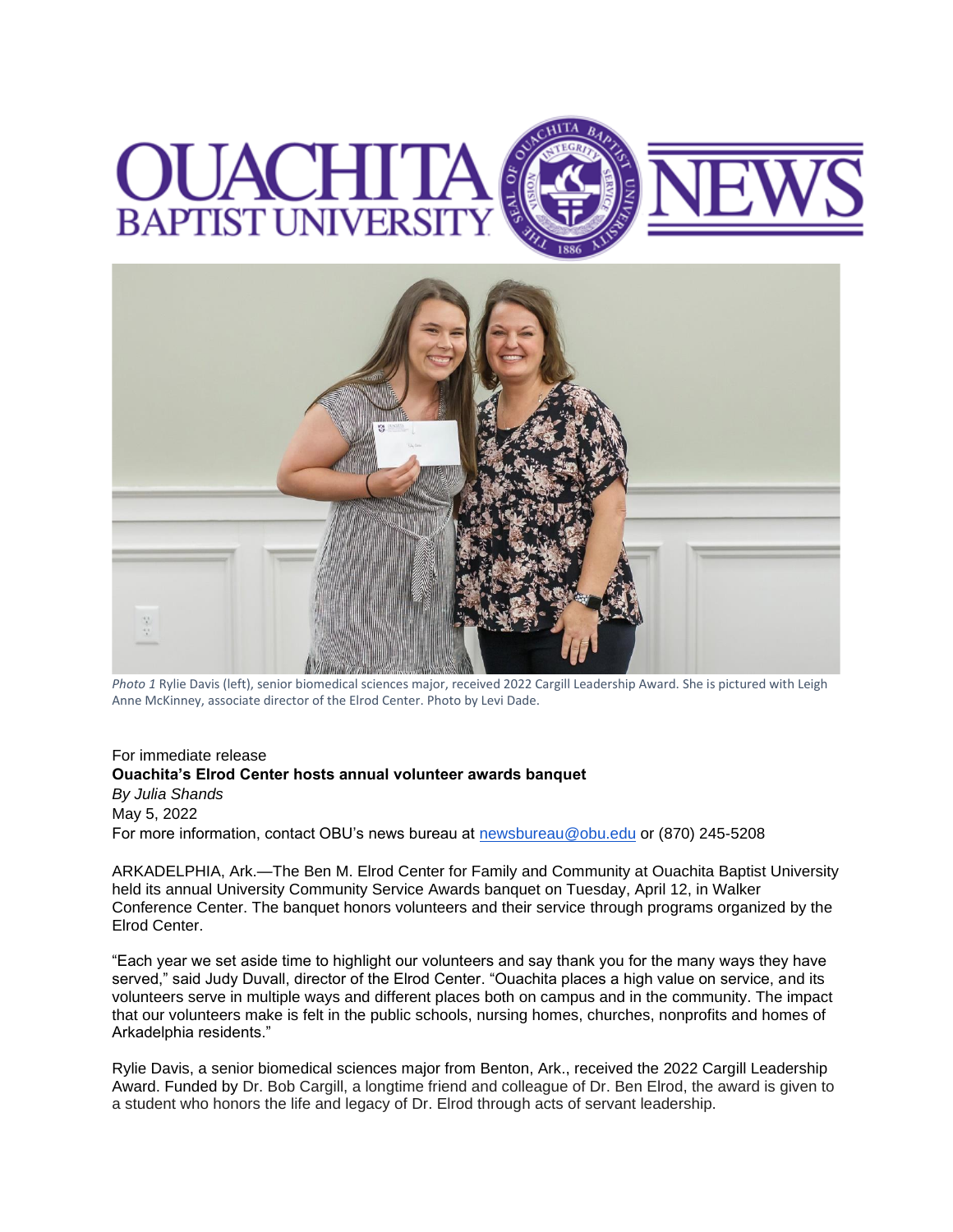## C I **BAPTIST UNIVERSI**



*Photo 1* Rylie Davis (left), senior biomedical sciences major, received 2022 Cargill Leadership Award. She is pictured with Leigh Anne McKinney, associate director of the Elrod Center. Photo by Levi Dade.

## For immediate release **Ouachita's Elrod Center hosts annual volunteer awards banquet** *By Julia Shands* May 5, 2022 For more information, contact OBU's news bureau at [newsbureau@obu.edu](mailto:newsbureau@obu.edu) or (870) 245-5208

ARKADELPHIA, Ark.—The Ben M. Elrod Center for Family and Community at Ouachita Baptist University held its annual University Community Service Awards banquet on Tuesday, April 12, in Walker Conference Center. The banquet honors volunteers and their service through programs organized by the Elrod Center.

"Each year we set aside time to highlight our volunteers and say thank you for the many ways they have served," said Judy Duvall, director of the Elrod Center. "Ouachita places a high value on service, and its volunteers serve in multiple ways and different places both on campus and in the community. The impact that our volunteers make is felt in the public schools, nursing homes, churches, nonprofits and homes of Arkadelphia residents."

Rylie Davis, a senior biomedical sciences major from Benton, Ark., received the 2022 Cargill Leadership Award. Funded by Dr. Bob Cargill, a longtime friend and colleague of Dr. Ben Elrod, the award is given to a student who honors the life and legacy of Dr. Elrod through acts of servant leadership.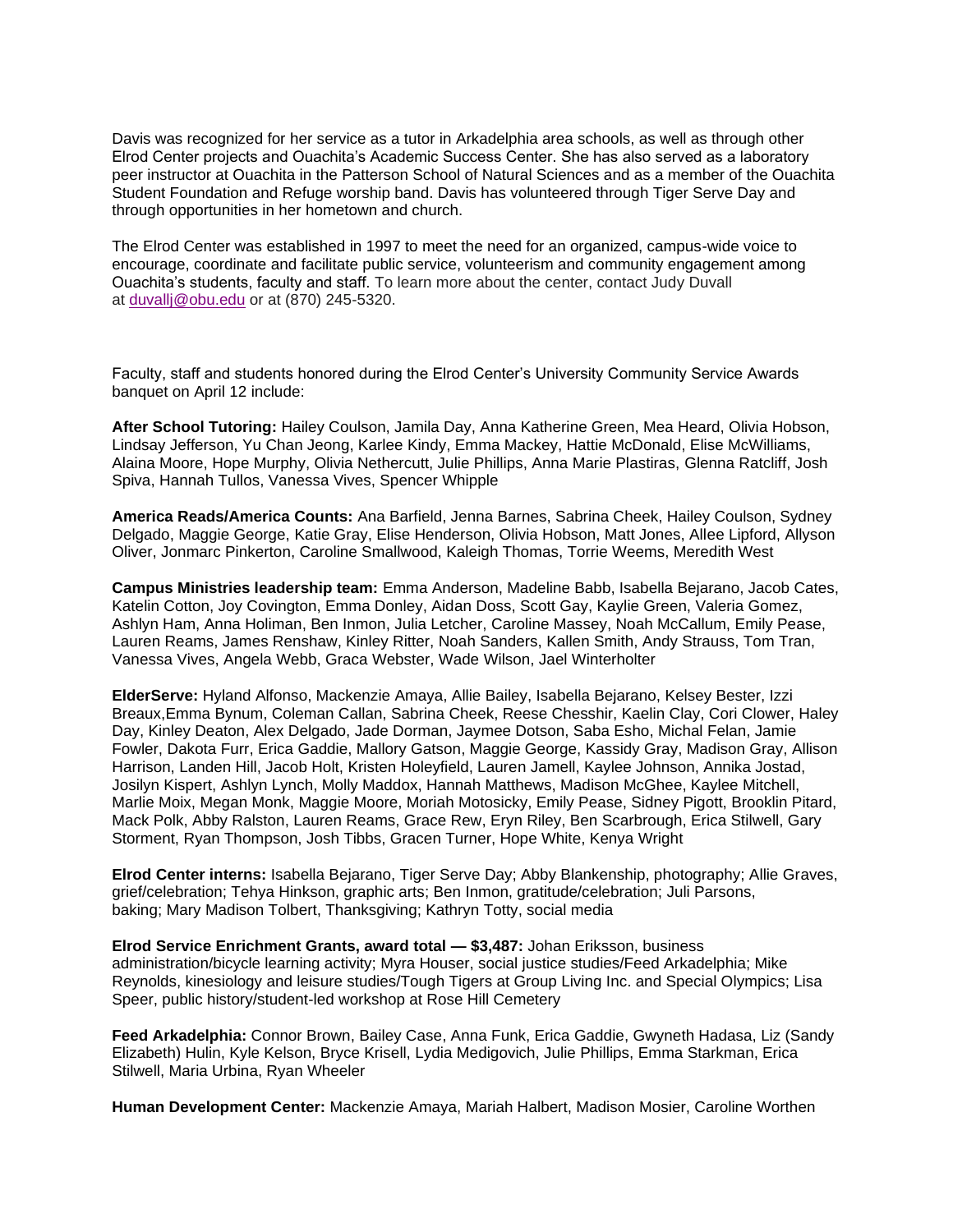Davis was recognized for her service as a tutor in Arkadelphia area schools, as well as through other Elrod Center projects and Ouachita's Academic Success Center. She has also served as a laboratory peer instructor at Ouachita in the Patterson School of Natural Sciences and as a member of the Ouachita Student Foundation and Refuge worship band. Davis has volunteered through Tiger Serve Day and through opportunities in her hometown and church.

The Elrod Center was established in 1997 to meet the need for an organized, campus-wide voice to encourage, coordinate and facilitate public service, volunteerism and community engagement among Ouachita's students, faculty and staff. To learn more about the center, contact Judy Duvall at [duvallj@obu.edu](mailto:duvallj@obu.edu) or at (870) 245-5320.

Faculty, staff and students honored during the Elrod Center's University Community Service Awards banquet on April 12 include:

**After School Tutoring:** Hailey Coulson, Jamila Day, Anna Katherine Green, Mea Heard, Olivia Hobson, Lindsay Jefferson, Yu Chan Jeong, Karlee Kindy, Emma Mackey, Hattie McDonald, Elise McWilliams, Alaina Moore, Hope Murphy, Olivia Nethercutt, Julie Phillips, Anna Marie Plastiras, Glenna Ratcliff, Josh Spiva, Hannah Tullos, Vanessa Vives, Spencer Whipple

**America Reads/America Counts:** Ana Barfield, Jenna Barnes, Sabrina Cheek, Hailey Coulson, Sydney Delgado, Maggie George, Katie Gray, Elise Henderson, Olivia Hobson, Matt Jones, Allee Lipford, Allyson Oliver, Jonmarc Pinkerton, Caroline Smallwood, Kaleigh Thomas, Torrie Weems, Meredith West

**Campus Ministries leadership team:** Emma Anderson, Madeline Babb, Isabella Bejarano, Jacob Cates, Katelin Cotton, Joy Covington, Emma Donley, Aidan Doss, Scott Gay, Kaylie Green, Valeria Gomez, Ashlyn Ham, Anna Holiman, Ben Inmon, Julia Letcher, Caroline Massey, Noah McCallum, Emily Pease, Lauren Reams, James Renshaw, Kinley Ritter, Noah Sanders, Kallen Smith, Andy Strauss, Tom Tran, Vanessa Vives, Angela Webb, Graca Webster, Wade Wilson, Jael Winterholter

**ElderServe:** Hyland Alfonso, Mackenzie Amaya, Allie Bailey, Isabella Bejarano, Kelsey Bester, Izzi Breaux,Emma Bynum, Coleman Callan, Sabrina Cheek, Reese Chesshir, Kaelin Clay, Cori Clower, Haley Day, Kinley Deaton, Alex Delgado, Jade Dorman, Jaymee Dotson, Saba Esho, Michal Felan, Jamie Fowler, Dakota Furr, Erica Gaddie, Mallory Gatson, Maggie George, Kassidy Gray, Madison Gray, Allison Harrison, Landen Hill, Jacob Holt, Kristen Holeyfield, Lauren Jamell, Kaylee Johnson, Annika Jostad, Josilyn Kispert, Ashlyn Lynch, Molly Maddox, Hannah Matthews, Madison McGhee, Kaylee Mitchell, Marlie Moix, Megan Monk, Maggie Moore, Moriah Motosicky, Emily Pease, Sidney Pigott, Brooklin Pitard, Mack Polk, Abby Ralston, Lauren Reams, Grace Rew, Eryn Riley, Ben Scarbrough, Erica Stilwell, Gary Storment, Ryan Thompson, Josh Tibbs, Gracen Turner, Hope White, Kenya Wright

**Elrod Center interns:** Isabella Bejarano, Tiger Serve Day; Abby Blankenship, photography; Allie Graves, grief/celebration; Tehya Hinkson, graphic arts; Ben Inmon, gratitude/celebration; Juli Parsons, baking; Mary Madison Tolbert, Thanksgiving; Kathryn Totty, social media

**Elrod Service Enrichment Grants, award total — \$3,487:** Johan Eriksson, business administration/bicycle learning activity; Myra Houser, social justice studies/Feed Arkadelphia; Mike Reynolds, kinesiology and leisure studies/Tough Tigers at Group Living Inc. and Special Olympics; Lisa Speer, public history/student-led workshop at Rose Hill Cemetery

**Feed Arkadelphia:** Connor Brown, Bailey Case, Anna Funk, Erica Gaddie, Gwyneth Hadasa, Liz (Sandy Elizabeth) Hulin, Kyle Kelson, Bryce Krisell, Lydia Medigovich, Julie Phillips, Emma Starkman, Erica Stilwell, Maria Urbina, Ryan Wheeler

**Human Development Center:** Mackenzie Amaya, Mariah Halbert, Madison Mosier, Caroline Worthen